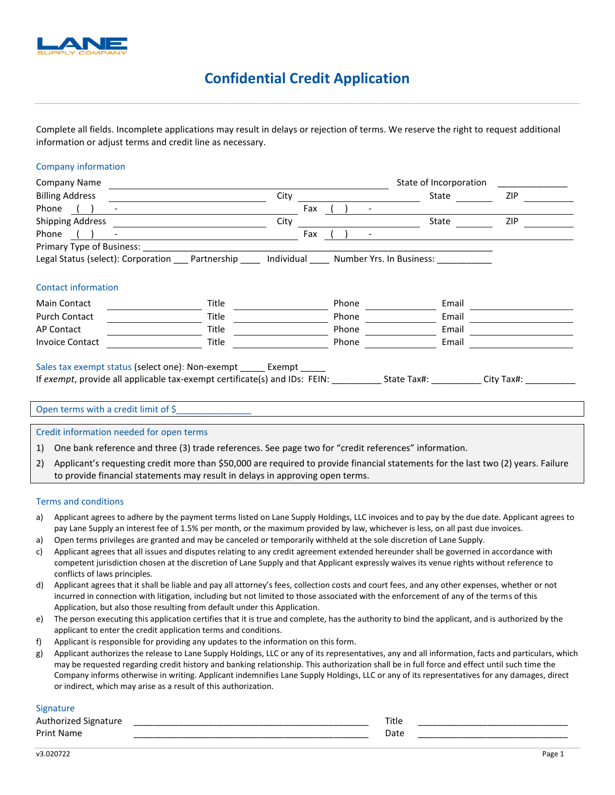

## **Confidential Credit Application**

Complete all fields. Incomplete applications may result in delays or rejection of terms. We reserve the right to request additional information or adjust terms and credit line as necessary.

#### Company information

| <b>Company Name</b>                                                                                                                                                                                                      |       |     |       |                                                           | State of Incorporation |            |  |
|--------------------------------------------------------------------------------------------------------------------------------------------------------------------------------------------------------------------------|-------|-----|-------|-----------------------------------------------------------|------------------------|------------|--|
| <b>Billing Address</b>                                                                                                                                                                                                   | City  |     |       |                                                           | State                  | <b>ZIP</b> |  |
| Phone                                                                                                                                                                                                                    |       | Fax |       |                                                           |                        |            |  |
| <b>Shipping Address</b>                                                                                                                                                                                                  | City  |     |       |                                                           | State                  | <b>ZIP</b> |  |
| Phone                                                                                                                                                                                                                    |       | Fax |       |                                                           |                        |            |  |
|                                                                                                                                                                                                                          |       |     |       |                                                           |                        |            |  |
| Legal Status (select): Corporation ___ Partnership                                                                                                                                                                       |       |     |       | Individual ______ Number Yrs. In Business: ______________ |                        |            |  |
|                                                                                                                                                                                                                          |       |     |       |                                                           |                        |            |  |
| <b>Contact information</b>                                                                                                                                                                                               |       |     |       |                                                           |                        |            |  |
| <b>Main Contact</b>                                                                                                                                                                                                      | Title |     | Phone |                                                           | Email                  |            |  |
| <b>Purch Contact</b>                                                                                                                                                                                                     | Title |     | Phone |                                                           | Email                  |            |  |
| <b>AP Contact</b>                                                                                                                                                                                                        | Title |     | Phone |                                                           | Email                  |            |  |
| <b>Invoice Contact</b>                                                                                                                                                                                                   | Title |     | Phone |                                                           | Email                  |            |  |
| Sales tax exempt status (select one): Non-exempt _______ Exempt _                                                                                                                                                        |       |     |       |                                                           |                        |            |  |
| If exempt, provide all applicable tax-exempt certificate(s) and IDs: FEIN: State Tax#: City Tax#:                                                                                                                        |       |     |       |                                                           |                        |            |  |
|                                                                                                                                                                                                                          |       |     |       |                                                           |                        |            |  |
| Open terms with a credit limit of \$                                                                                                                                                                                     |       |     |       |                                                           |                        |            |  |
| Credit information needed for open terms                                                                                                                                                                                 |       |     |       |                                                           |                        |            |  |
| One bank reference and three (3) trade references. See page two for "credit references" information.<br>1)                                                                                                               |       |     |       |                                                           |                        |            |  |
| Applicant's requesting credit more than \$50,000 are required to provide financial statements for the last two (2) years. Failure<br>2)<br>to provide financial statements may result in delays in approving open terms. |       |     |       |                                                           |                        |            |  |

#### Terms and conditions

- a) Applicant agrees to adhere by the payment terms listed on Lane Supply Holdings, LLC invoices and to pay by the due date. Applicant agrees to pay Lane Supply an interest fee of 1.5% per month, or the maximum provided by law, whichever is less, on all past due invoices.
- a) Open terms privileges are granted and may be canceled or temporarily withheld at the sole discretion of Lane Supply.
- c) Applicant agrees that all issues and disputes relating to any credit agreement extended hereunder shall be governed in accordance with competent jurisdiction chosen at the discretion of Lane Supply and that Applicant expressly waives its venue rights without reference to conflicts of laws principles.
- d) Applicant agrees that it shall be liable and pay all attorney's fees, collection costs and court fees, and any other expenses, whether or not incurred in connection with litigation, including but not limited to those associated with the enforcement of any of the terms of this Application, but also those resulting from default under this Application.
- e) The person executing this application certifies that it is true and complete, has the authority to bind the applicant, and is authorized by the applicant to enter the credit application terms and conditions.
- f) Applicant is responsible for providing any updates to the information on this form.
- g) Applicant authorizes the release to Lane Supply Holdings, LLC or any of its representatives, any and all information, facts and particulars, which may be requested regarding credit history and banking relationship. This authorization shall be in full force and effect until such time the Company informs otherwise in writing. Applicant indemnifies Lane Supply Holdings, LLC or any of its representatives for any damages, direct or indirect, which may arise as a result of this authorization.

#### **Signature**

| Authorized<br>Signature | $T^*$ | ,,,,      |                 |
|-------------------------|-------|-----------|-----------------|
| Print<br>-Nai           |       | Date<br>. | _______________ |